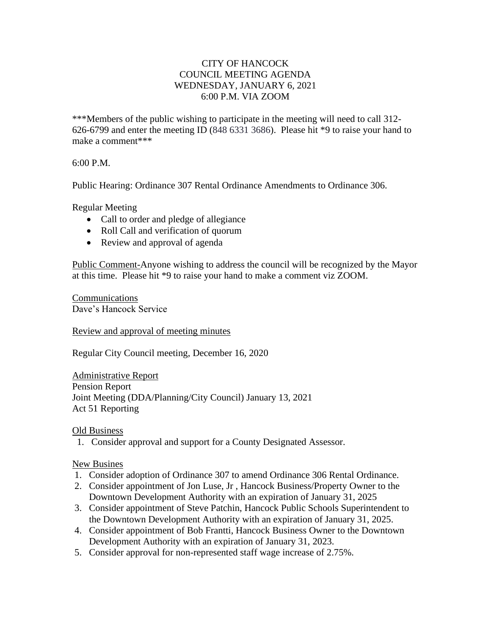## CITY OF HANCOCK COUNCIL MEETING AGENDA WEDNESDAY, JANUARY 6, 2021 6:00 P.M. VIA ZOOM

\*\*\*Members of the public wishing to participate in the meeting will need to call 312- 626-6799 and enter the meeting ID (848 6331 3686). Please hit \*9 to raise your hand to make a comment\*\*\*

## 6:00 P.M.

Public Hearing: Ordinance 307 Rental Ordinance Amendments to Ordinance 306.

Regular Meeting

- Call to order and pledge of allegiance
- Roll Call and verification of quorum
- Review and approval of agenda

Public Comment-Anyone wishing to address the council will be recognized by the Mayor at this time. Please hit \*9 to raise your hand to make a comment viz ZOOM.

Communications Dave's Hancock Service

Review and approval of meeting minutes

Regular City Council meeting, December 16, 2020

Administrative Report Pension Report Joint Meeting (DDA/Planning/City Council) January 13, 2021 Act 51 Reporting

Old Business

1. Consider approval and support for a County Designated Assessor.

## New Busines

- 1. Consider adoption of Ordinance 307 to amend Ordinance 306 Rental Ordinance.
- 2. Consider appointment of Jon Luse, Jr , Hancock Business/Property Owner to the Downtown Development Authority with an expiration of January 31, 2025
- 3. Consider appointment of Steve Patchin, Hancock Public Schools Superintendent to the Downtown Development Authority with an expiration of January 31, 2025.
- 4. Consider appointment of Bob Frantti, Hancock Business Owner to the Downtown Development Authority with an expiration of January 31, 2023.
- 5. Consider approval for non-represented staff wage increase of 2.75%.